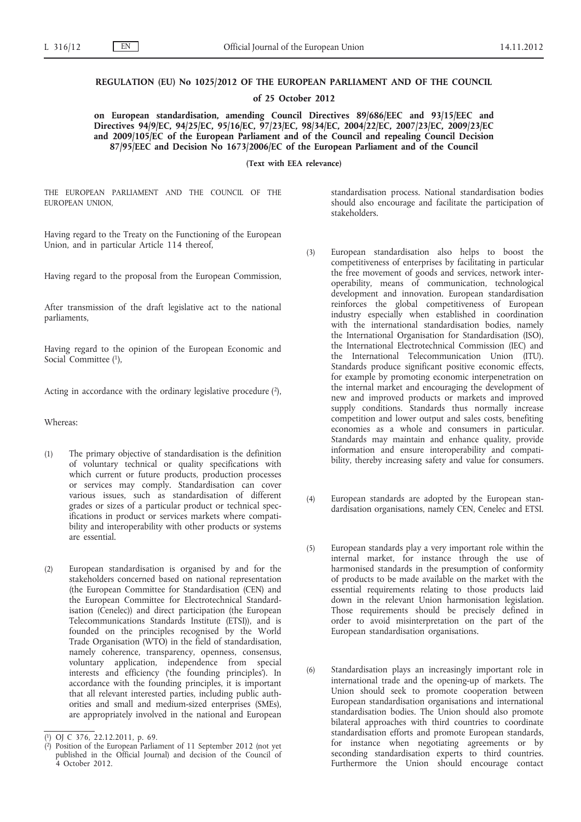## **REGULATION (EU) No 1025/2012 OF THE EUROPEAN PARLIAMENT AND OF THE COUNCIL**

**of 25 October 2012**

**on European standardisation, amending Council Directives 89/686/EEC and 93/15/EEC and Directives 94/9/EC, 94/25/EC, 95/16/EC, 97/23/EC, 98/34/EC, 2004/22/EC, 2007/23/EC, 2009/23/EC and 2009/105/EC of the European Parliament and of the Council and repealing Council Decision 87/95/EEC and Decision No 1673/2006/EC of the European Parliament and of the Council**

**(Text with EEA relevance)**

THE EUROPEAN PARLIAMENT AND THE COUNCIL OF THE EUROPEAN UNION,

Having regard to the Treaty on the Functioning of the European Union, and in particular Article 114 thereof,

Having regard to the proposal from the European Commission,

After transmission of the draft legislative act to the national parliaments,

Having regard to the opinion of the European Economic and Social Committee (1),

Acting in accordance with the ordinary legislative procedure  $(2)$ ,

Whereas:

- (1) The primary objective of standardisation is the definition of voluntary technical or quality specifications with which current or future products, production processes or services may comply. Standardisation can cover various issues, such as standardisation of different grades or sizes of a particular product or technical specifications in product or services markets where compatibility and interoperability with other products or systems are essential.
- (2) European standardisation is organised by and for the stakeholders concerned based on national representation (the European Committee for Standardisation (CEN) and the European Committee for Electrotechnical Standardisation (Cenelec)) and direct participation (the European Telecommunications Standards Institute (ETSI)), and is founded on the principles recognised by the World Trade Organisation (WTO) in the field of standardisation, namely coherence, transparency, openness, consensus, voluntary application, independence from special interests and efficiency ('the founding principles'). In accordance with the founding principles, it is important that all relevant interested parties, including public authorities and small and medium-sized enterprises (SMEs), are appropriately involved in the national and European

standardisation process. National standardisation bodies should also encourage and facilitate the participation of stakeholders.

- (3) European standardisation also helps to boost the competitiveness of enterprises by facilitating in particular the free movement of goods and services, network interoperability, means of communication, technological development and innovation. European standardisation reinforces the global competitiveness of European industry especially when established in coordination with the international standardisation bodies, namely the International Organisation for Standardisation (ISO), the International Electrotechnical Commission (IEC) and the International Telecommunication Union (ITU). Standards produce significant positive economic effects, for example by promoting economic interpenetration on the internal market and encouraging the development of new and improved products or markets and improved supply conditions. Standards thus normally increase competition and lower output and sales costs, benefiting economies as a whole and consumers in particular. Standards may maintain and enhance quality, provide information and ensure interoperability and compatibility, thereby increasing safety and value for consumers.
- (4) European standards are adopted by the European standardisation organisations, namely CEN, Cenelec and ETSI.
- (5) European standards play a very important role within the internal market, for instance through the use of harmonised standards in the presumption of conformity of products to be made available on the market with the essential requirements relating to those products laid down in the relevant Union harmonisation legislation. Those requirements should be precisely defined in order to avoid misinterpretation on the part of the European standardisation organisations.
- (6) Standardisation plays an increasingly important role in international trade and the opening-up of markets. The Union should seek to promote cooperation between European standardisation organisations and international standardisation bodies. The Union should also promote bilateral approaches with third countries to coordinate standardisation efforts and promote European standards, for instance when negotiating agreements or by seconding standardisation experts to third countries. Furthermore the Union should encourage contact

<sup>(</sup> 1) OJ C 376, 22.12.2011, p. 69.

<sup>(</sup> 2) Position of the European Parliament of 11 September 2012 (not yet published in the Official Journal) and decision of the Council of 4 October 2012.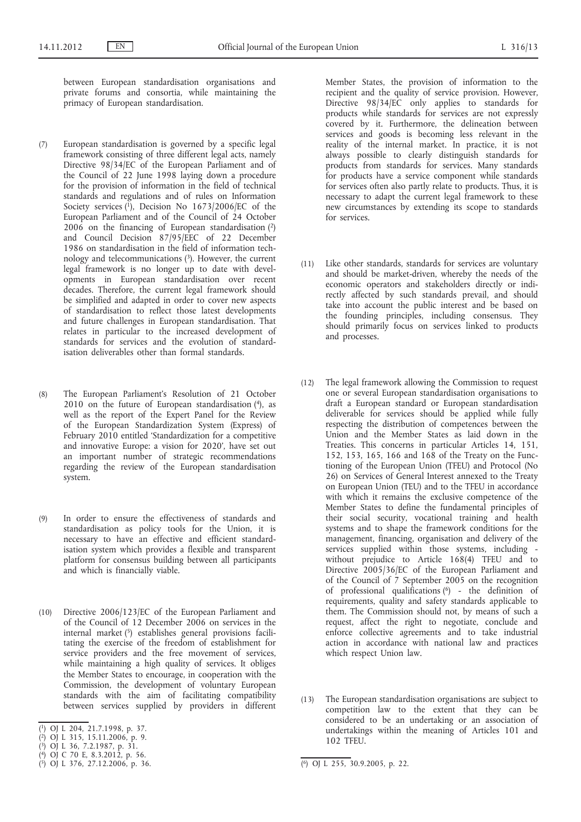between European standardisation organisations and private forums and consortia, while maintaining the primacy of European standardisation.

- (7) European standardisation is governed by a specific legal framework consisting of three different legal acts, namely Directive 98/34/EC of the European Parliament and of the Council of 22 June 1998 laying down a procedure for the provision of information in the field of technical standards and regulations and of rules on Information Society services  $(1)$ , Decision No 1673/2006/EC of the European Parliament and of the Council of 24 October  $200\overline{6}$  on the financing of European standardisation  $(2)$ and Council Decision 87/95/EEC of 22 December 1986 on standardisation in the field of information technology and telecommunications (3). However, the current legal framework is no longer up to date with developments in European standardisation over recent decades. Therefore, the current legal framework should be simplified and adapted in order to cover new aspects of standardisation to reflect those latest developments and future challenges in European standardisation. That relates in particular to the increased development of standards for services and the evolution of standardisation deliverables other than formal standards.
- (8) The European Parliament's Resolution of 21 October 2010 on the future of European standardisation  $(4)$ , as well as the report of the Expert Panel for the Review of the European Standardization System (Express) of February 2010 entitled 'Standardization for a competitive and innovative Europe: a vision for 2020', have set out an important number of strategic recommendations regarding the review of the European standardisation system.
- (9) In order to ensure the effectiveness of standards and standardisation as policy tools for the Union, it is necessary to have an effective and efficient standardisation system which provides a flexible and transparent platform for consensus building between all participants and which is financially viable.
- (10) Directive 2006/123/EC of the European Parliament and of the Council of 12 December 2006 on services in the internal market (5) establishes general provisions facilitating the exercise of the freedom of establishment for service providers and the free movement of services, while maintaining a high quality of services. It obliges the Member States to encourage, in cooperation with the Commission, the development of voluntary European standards with the aim of facilitating compatibility between services supplied by providers in different
- ( 1) OJ L 204, 21.7.1998, p. 37.

- ( 3) OJ L 36, 7.2.1987, p. 31.
- ( 4) OJ C 70 E, 8.3.2012, p. 56.
- ( 5) OJ L 376, 27.12.2006, p. 36. (6) OJ L 255, 30.9.2005, p. 22.

Member States, the provision of information to the recipient and the quality of service provision. However, Directive 98/34/EC only applies to standards for products while standards for services are not expressly covered by it. Furthermore, the delineation between services and goods is becoming less relevant in the reality of the internal market. In practice, it is not always possible to clearly distinguish standards for products from standards for services. Many standards for products have a service component while standards for services often also partly relate to products. Thus, it is necessary to adapt the current legal framework to these new circumstances by extending its scope to standards for services.

- (11) Like other standards, standards for services are voluntary and should be market-driven, whereby the needs of the economic operators and stakeholders directly or indirectly affected by such standards prevail, and should take into account the public interest and be based on the founding principles, including consensus. They should primarily focus on services linked to products and processes.
- (12) The legal framework allowing the Commission to request one or several European standardisation organisations to draft a European standard or European standardisation deliverable for services should be applied while fully respecting the distribution of competences between the Union and the Member States as laid down in the Treaties. This concerns in particular Articles 14, 151, 152, 153, 165, 166 and 168 of the Treaty on the Functioning of the European Union (TFEU) and Protocol (No 26) on Services of General Interest annexed to the Treaty on European Union (TEU) and to the TFEU in accordance with which it remains the exclusive competence of the Member States to define the fundamental principles of their social security, vocational training and health systems and to shape the framework conditions for the management, financing, organisation and delivery of the services supplied within those systems, including without prejudice to Article 168(4) TFEU and to Directive 2005/36/EC of the European Parliament and of the Council of 7 September 2005 on the recognition of professional qualifications (6) - the definition of requirements, quality and safety standards applicable to them. The Commission should not, by means of such a request, affect the right to negotiate, conclude and enforce collective agreements and to take industrial action in accordance with national law and practices which respect Union law.
- (13) The European standardisation organisations are subject to competition law to the extent that they can be considered to be an undertaking or an association of undertakings within the meaning of Articles 101 and 102 TFEU.

<sup>(</sup> 2) OJ L 315, 15.11.2006, p. 9.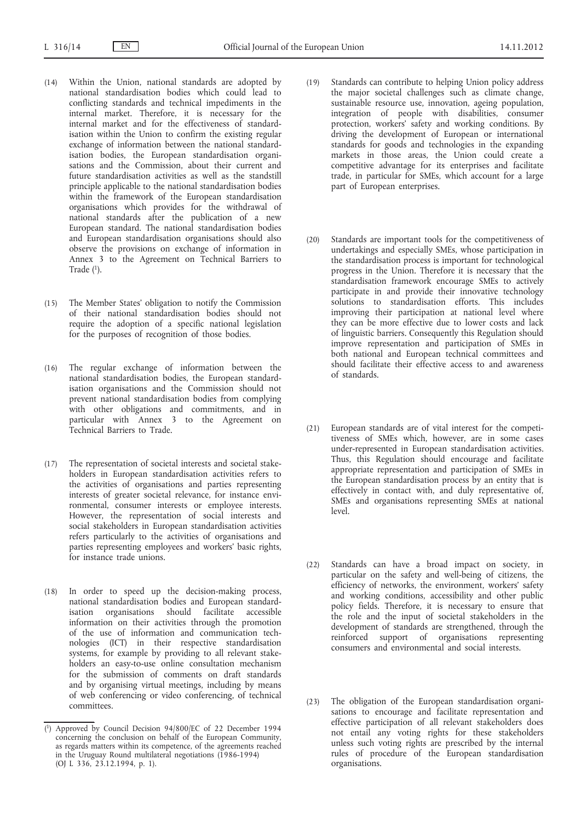- (14) Within the Union, national standards are adopted by national standardisation bodies which could lead to conflicting standards and technical impediments in the internal market. Therefore, it is necessary for the internal market and for the effectiveness of standardisation within the Union to confirm the existing regular exchange of information between the national standardisation bodies, the European standardisation organisations and the Commission, about their current and future standardisation activities as well as the standstill principle applicable to the national standardisation bodies within the framework of the European standardisation organisations which provides for the withdrawal of national standards after the publication of a new European standard. The national standardisation bodies and European standardisation organisations should also observe the provisions on exchange of information in Annex 3 to the Agreement on Technical Barriers to Trade  $(1)$ .
- (15) The Member States' obligation to notify the Commission of their national standardisation bodies should not require the adoption of a specific national legislation for the purposes of recognition of those bodies.
- (16) The regular exchange of information between the national standardisation bodies, the European standardisation organisations and the Commission should not prevent national standardisation bodies from complying with other obligations and commitments, and in particular with Annex 3 to the Agreement on Technical Barriers to Trade.
- (17) The representation of societal interests and societal stakeholders in European standardisation activities refers to the activities of organisations and parties representing interests of greater societal relevance, for instance environmental, consumer interests or employee interests. However, the representation of social interests and social stakeholders in European standardisation activities refers particularly to the activities of organisations and parties representing employees and workers' basic rights, for instance trade unions.
- (18) In order to speed up the decision-making process, national standardisation bodies and European standardisation organisations should facilitate accessible information on their activities through the promotion of the use of information and communication technologies (ICT) in their respective standardisation systems, for example by providing to all relevant stakeholders an easy-to-use online consultation mechanism for the submission of comments on draft standards and by organising virtual meetings, including by means of web conferencing or video conferencing, of technical committees.
- (19) Standards can contribute to helping Union policy address the major societal challenges such as climate change, sustainable resource use, innovation, ageing population, integration of people with disabilities, consumer protection, workers' safety and working conditions. By driving the development of European or international standards for goods and technologies in the expanding markets in those areas, the Union could create a competitive advantage for its enterprises and facilitate trade, in particular for SMEs, which account for a large part of European enterprises.
- (20) Standards are important tools for the competitiveness of undertakings and especially SMEs, whose participation in the standardisation process is important for technological progress in the Union. Therefore it is necessary that the standardisation framework encourage SMEs to actively participate in and provide their innovative technology solutions to standardisation efforts. This includes improving their participation at national level where they can be more effective due to lower costs and lack of linguistic barriers. Consequently this Regulation should improve representation and participation of SMEs in both national and European technical committees and should facilitate their effective access to and awareness of standards.
- (21) European standards are of vital interest for the competitiveness of SMEs which, however, are in some cases under-represented in European standardisation activities. Thus, this Regulation should encourage and facilitate appropriate representation and participation of SMEs in the European standardisation process by an entity that is effectively in contact with, and duly representative of, SMEs and organisations representing SMEs at national level.
- (22) Standards can have a broad impact on society, in particular on the safety and well-being of citizens, the efficiency of networks, the environment, workers' safety and working conditions, accessibility and other public policy fields. Therefore, it is necessary to ensure that the role and the input of societal stakeholders in the development of standards are strengthened, through the reinforced support of organisations representing consumers and environmental and social interests.
- (23) The obligation of the European standardisation organisations to encourage and facilitate representation and effective participation of all relevant stakeholders does not entail any voting rights for these stakeholders unless such voting rights are prescribed by the internal rules of procedure of the European standardisation organisations.

<sup>(</sup> 1) Approved by Council Decision 94/800/EC of 22 December 1994 concerning the conclusion on behalf of the European Community, as regards matters within its competence, of the agreements reached in the Uruguay Round multilateral negotiations (1986-1994) (OJ L 336, 23.12.1994, p. 1).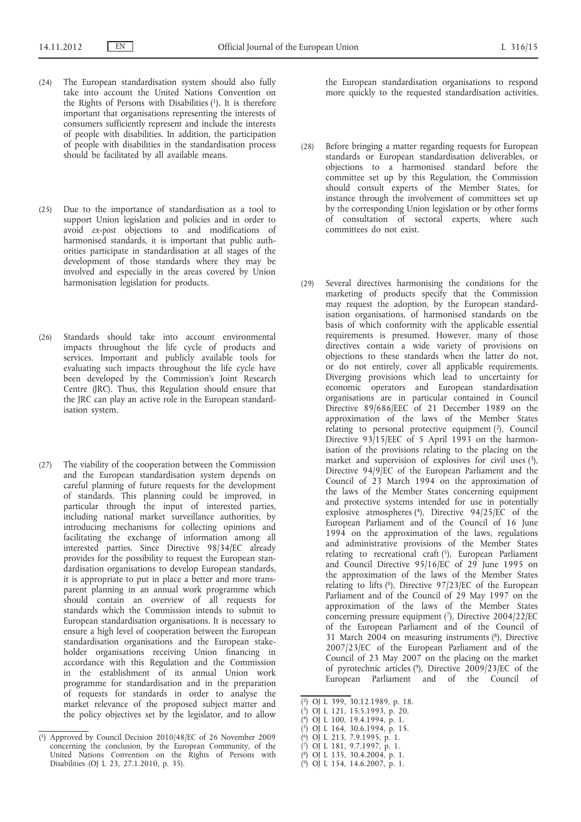- (24) The European standardisation system should also fully take into account the United Nations Convention on the Rights of Persons with Disabilities (1). It is therefore important that organisations representing the interests of consumers sufficiently represent and include the interests of people with disabilities. In addition, the participation of people with disabilities in the standardisation process should be facilitated by all available means.
- (25) Due to the importance of standardisation as a tool to support Union legislation and policies and in order to avoid *ex-post* objections to and modifications of harmonised standards, it is important that public authorities participate in standardisation at all stages of the development of those standards where they may be involved and especially in the areas covered by Union harmonisation legislation for products.
- (26) Standards should take into account environmental impacts throughout the life cycle of products and services. Important and publicly available tools for evaluating such impacts throughout the life cycle have been developed by the Commission's Joint Research Centre (JRC). Thus, this Regulation should ensure that the JRC can play an active role in the European standardisation system.
- (27) The viability of the cooperation between the Commission and the European standardisation system depends on careful planning of future requests for the development of standards. This planning could be improved, in particular through the input of interested parties, including national market surveillance authorities, by introducing mechanisms for collecting opinions and facilitating the exchange of information among all interested parties. Since Directive 98/34/EC already provides for the possibility to request the European standardisation organisations to develop European standards, it is appropriate to put in place a better and more transparent planning in an annual work programme which should contain an overview of all requests for standards which the Commission intends to submit to European standardisation organisations. It is necessary to ensure a high level of cooperation between the European standardisation organisations and the European stakeholder organisations receiving Union financing in accordance with this Regulation and the Commission in the establishment of its annual Union work programme for standardisation and in the preparation of requests for standards in order to analyse the market relevance of the proposed subject matter and the policy objectives set by the legislator, and to allow

the European standardisation organisations to respond more quickly to the requested standardisation activities.

- (28) Before bringing a matter regarding requests for European standards or European standardisation deliverables, or objections to a harmonised standard before the committee set up by this Regulation, the Commission should consult experts of the Member States, for instance through the involvement of committees set up by the corresponding Union legislation or by other forms of consultation of sectoral experts, where such committees do not exist.
- (29) Several directives harmonising the conditions for the marketing of products specify that the Commission may request the adoption, by the European standardisation organisations, of harmonised standards on the basis of which conformity with the applicable essential requirements is presumed. However, many of those directives contain a wide variety of provisions on objections to these standards when the latter do not, or do not entirely, cover all applicable requirements. Diverging provisions which lead to uncertainty for economic operators and European standardisation organisations are in particular contained in Council Directive 89/686/EEC of 21 December 1989 on the approximation of the laws of the Member States relating to personal protective equipment (2), Council Directive  $93/15/EEC$  of 5 April 1993 on the harmonisation of the provisions relating to the placing on the market and supervision of explosives for civil uses (3), Directive 94/9/EC of the European Parliament and the Council of 23 March 1994 on the approximation of the laws of the Member States concerning equipment and protective systems intended for use in potentially explosive atmospheres (4), Directive 94/25/EC of the European Parliament and of the Council of 16 June 1994 on the approximation of the laws, regulations and administrative provisions of the Member States relating to recreational craft (5), European Parliament and Council Directive 95/16/EC of 29 June 1995 on the approximation of the laws of the Member States relating to lifts  $(6)$ , Directive 97/23/EC of the European Parliament and of the Council of 29 May 1997 on the approximation of the laws of the Member States concerning pressure equipment  $(7)$ , Directive 2004/22/EC of the European Parliament and of the Council of 31 March 2004 on measuring instruments (8), Directive 2007/23/EC of the European Parliament and of the Council of 23 May 2007 on the placing on the market of pyrotechnic articles (9), Directive 2009/23/EC of the European Parliament and of the Council of
- ( 2) OJ L 399, 30.12.1989, p. 18.
- ( 3) OJ L 121, 15.5.1993, p. 20. ( 4) OJ L 100, 19.4.1994, p. 1.
- ( 5) OJ L 164, 30.6.1994, p. 15.
- ( 6) OJ L 213, 7.9.1995, p. 1.
- ( 7) OJ L 181, 9.7.1997, p. 1.
- ( 8) OJ L 135, 30.4.2004, p. 1.
- ( 9) OJ L 154, 14.6.2007, p. 1.

<sup>(</sup> 1) Approved by Council Decision 2010/48/EC of 26 November 2009 concerning the conclusion, by the European Community, of the United Nations Convention on the Rights of Persons with Disabilities (OJ L 23, 27.1.2010, p. 35).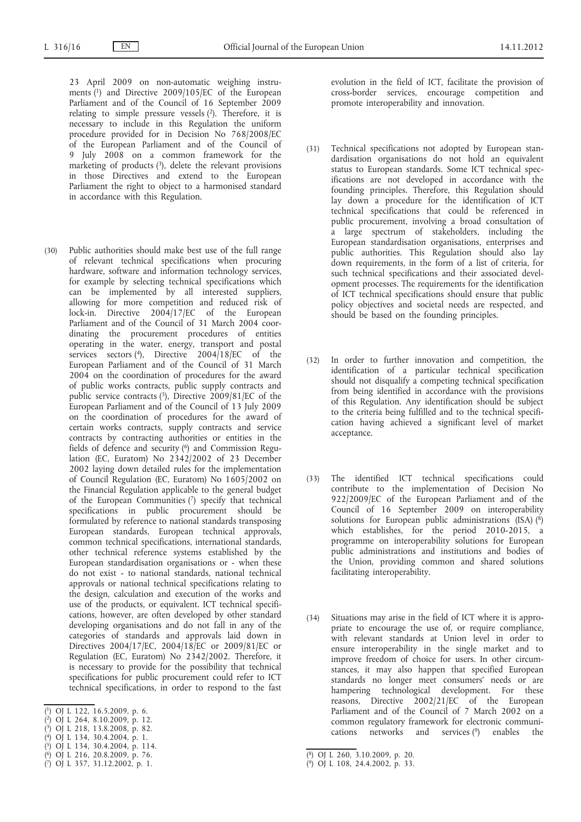23 April 2009 on non-automatic weighing instruments (1) and Directive 2009/105/EC of the European Parliament and of the Council of 16 September 2009 relating to simple pressure vessels (2). Therefore, it is necessary to include in this Regulation the uniform procedure provided for in Decision No 768/2008/EC of the European Parliament and of the Council of 9 July 2008 on a common framework for the marketing of products  $(3)$ , delete the relevant provisions in those Directives and extend to the European Parliament the right to object to a harmonised standard in accordance with this Regulation.

- (30) Public authorities should make best use of the full range of relevant technical specifications when procuring hardware, software and information technology services, for example by selecting technical specifications which can be implemented by all interested suppliers, allowing for more competition and reduced risk of lock-in. Directive 2004/17/EC of the European Parliament and of the Council of 31 March 2004 coordinating the procurement procedures of entities operating in the water, energy, transport and postal services sectors (4), Directive 2004/18/EC of the European Parliament and of the Council of 31 March 2004 on the coordination of procedures for the award of public works contracts, public supply contracts and public service contracts (5), Directive 2009/81/EC of the European Parliament and of the Council of 13 July 2009 on the coordination of procedures for the award of certain works contracts, supply contracts and service contracts by contracting authorities or entities in the fields of defence and security (<sup>6</sup>) and Commission Regulation (EC, Euratom) No 2342/2002 of 23 December 2002 laying down detailed rules for the implementation of Council Regulation (EC, Euratom) No 1605/2002 on the Financial Regulation applicable to the general budget of the European Communities (7) specify that technical specifications in public procurement should be formulated by reference to national standards transposing European standards, European technical approvals, common technical specifications, international standards, other technical reference systems established by the European standardisation organisations or - when these do not exist - to national standards, national technical approvals or national technical specifications relating to the design, calculation and execution of the works and use of the products, or equivalent. ICT technical specifications, however, are often developed by other standard developing organisations and do not fall in any of the categories of standards and approvals laid down in Directives 2004/17/EC, 2004/18/EC or 2009/81/EC or Regulation (EC, Euratom) No 2342/2002. Therefore, it is necessary to provide for the possibility that technical specifications for public procurement could refer to ICT technical specifications, in order to respond to the fast
- ( 1) OJ L 122, 16.5.2009, p. 6.
- ( 2) OJ L 264, 8.10.2009, p. 12.
- ( 3) OJ L 218, 13.8.2008, p. 82. ( 4) OJ L 134, 30.4.2004, p. 1.
- ( 5) OJ L 134, 30.4.2004, p. 114.
- ( 6) OJ L 216, 20.8.2009, p. 76.
- ( 7) OJ L 357, 31.12.2002, p. 1.

evolution in the field of ICT, facilitate the provision of cross-border services, encourage competition and promote interoperability and innovation.

- (31) Technical specifications not adopted by European standardisation organisations do not hold an equivalent status to European standards. Some ICT technical specifications are not developed in accordance with the founding principles. Therefore, this Regulation should lay down a procedure for the identification of ICT technical specifications that could be referenced in public procurement, involving a broad consultation of a large spectrum of stakeholders, including the European standardisation organisations, enterprises and public authorities. This Regulation should also lay down requirements, in the form of a list of criteria, for such technical specifications and their associated development processes. The requirements for the identification of ICT technical specifications should ensure that public policy objectives and societal needs are respected, and should be based on the founding principles.
- (32) In order to further innovation and competition, the identification of a particular technical specification should not disqualify a competing technical specification from being identified in accordance with the provisions of this Regulation. Any identification should be subject to the criteria being fulfilled and to the technical specification having achieved a significant level of market acceptance.
- (33) The identified ICT technical specifications could contribute to the implementation of Decision No 922/2009/EC of the European Parliament and of the Council of 16 September 2009 on interoperability solutions for European public administrations (ISA) (8) which establishes, for the period 2010-2015, a programme on interoperability solutions for European public administrations and institutions and bodies of the Union, providing common and shared solutions facilitating interoperability.
- (34) Situations may arise in the field of ICT where it is appropriate to encourage the use of, or require compliance, with relevant standards at Union level in order to ensure interoperability in the single market and to improve freedom of choice for users. In other circumstances, it may also happen that specified European standards no longer meet consumers' needs or are hampering technological development. For these reasons, Directive 2002/21/EC of the European Parliament and of the Council of 7 March 2002 on a common regulatory framework for electronic communications networks and services (9) enables the

<sup>(</sup> 8) OJ L 260, 3.10.2009, p. 20.

<sup>(</sup> 9) OJ L 108, 24.4.2002, p. 33.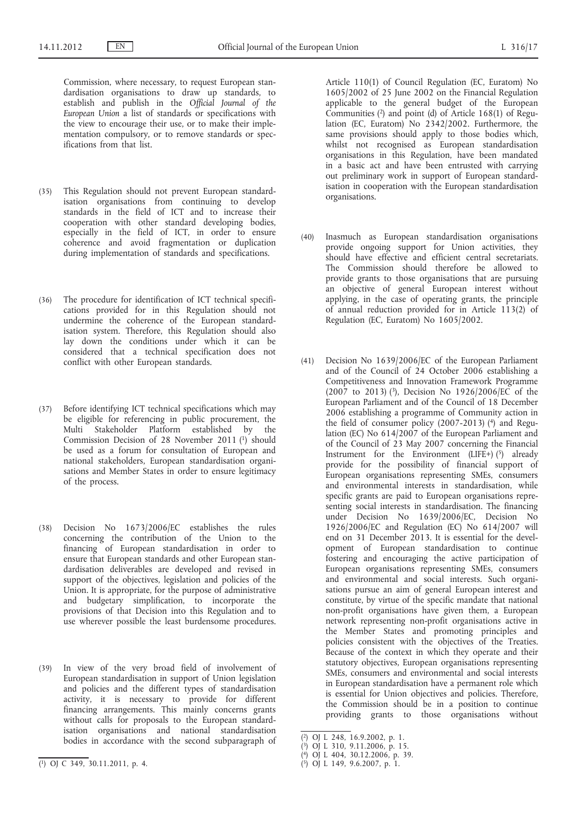Commission, where necessary, to request European standardisation organisations to draw up standards, to establish and publish in the *Official Journal of the European Union* a list of standards or specifications with the view to encourage their use, or to make their implementation compulsory, or to remove standards or specifications from that list.

- (35) This Regulation should not prevent European standardisation organisations from continuing to develop standards in the field of ICT and to increase their cooperation with other standard developing bodies, especially in the field of ICT, in order to ensure coherence and avoid fragmentation or duplication during implementation of standards and specifications.
- (36) The procedure for identification of ICT technical specifications provided for in this Regulation should not undermine the coherence of the European standardisation system. Therefore, this Regulation should also lay down the conditions under which it can be considered that a technical specification does not conflict with other European standards.
- (37) Before identifying ICT technical specifications which may be eligible for referencing in public procurement, the Multi Stakeholder Platform established by the Commission Decision of 28 November 2011 (1) should be used as a forum for consultation of European and national stakeholders, European standardisation organisations and Member States in order to ensure legitimacy of the process.
- (38) Decision No 1673/2006/EC establishes the rules concerning the contribution of the Union to the financing of European standardisation in order to ensure that European standards and other European standardisation deliverables are developed and revised in support of the objectives, legislation and policies of the Union. It is appropriate, for the purpose of administrative and budgetary simplification, to incorporate the provisions of that Decision into this Regulation and to use wherever possible the least burdensome procedures.
- (39) In view of the very broad field of involvement of European standardisation in support of Union legislation and policies and the different types of standardisation activity, it is necessary to provide for different financing arrangements. This mainly concerns grants without calls for proposals to the European standardisation organisations and national standardisation bodies in accordance with the second subparagraph of

Article 110(1) of Council Regulation (EC, Euratom) No 1605/2002 of 25 June 2002 on the Financial Regulation applicable to the general budget of the European Communities  $(2)$  and point  $(d)$  of Article 168(1) of Regulation (EC, Euratom) No 2342/2002. Furthermore, the same provisions should apply to those bodies which, whilst not recognised as European standardisation organisations in this Regulation, have been mandated in a basic act and have been entrusted with carrying out preliminary work in support of European standardisation in cooperation with the European standardisation organisations.

- (40) Inasmuch as European standardisation organisations provide ongoing support for Union activities, they should have effective and efficient central secretariats. The Commission should therefore be allowed to provide grants to those organisations that are pursuing an objective of general European interest without applying, in the case of operating grants, the principle of annual reduction provided for in Article 113(2) of Regulation (EC, Euratom) No 1605/2002.
- (41) Decision No 1639/2006/EC of the European Parliament and of the Council of 24 October 2006 establishing a Competitiveness and Innovation Framework Programme (2007 to 2013)  $(3)$ , Decision No 1926/2006/EC of the European Parliament and of the Council of 18 December 2006 establishing a programme of Community action in the field of consumer policy  $(2007-2013)$  (4) and Regulation (EC) No 614/2007 of the European Parliament and of the Council of 23 May 2007 concerning the Financial Instrument for the Environment (LIFE+)  $(5)$  already provide for the possibility of financial support of European organisations representing SMEs, consumers and environmental interests in standardisation, while specific grants are paid to European organisations representing social interests in standardisation. The financing under Decision No 1639/2006/EC, Decision No 1926/2006/EC and Regulation (EC) No 614/2007 will end on 31 December 2013. It is essential for the development of European standardisation to continue fostering and encouraging the active participation of European organisations representing SMEs, consumers and environmental and social interests. Such organisations pursue an aim of general European interest and constitute, by virtue of the specific mandate that national non-profit organisations have given them, a European network representing non-profit organisations active in the Member States and promoting principles and policies consistent with the objectives of the Treaties. Because of the context in which they operate and their statutory objectives, European organisations representing SMEs, consumers and environmental and social interests in European standardisation have a permanent role which is essential for Union objectives and policies. Therefore, the Commission should be in a position to continue providing grants to those organisations without

<sup>(</sup> 1) OJ C 349, 30.11.2011, p. 4.

<sup>(</sup> 2) OJ L 248, 16.9.2002, p. 1.

<sup>(</sup> 3) OJ L 310, 9.11.2006, p. 15.

<sup>(</sup> 4) OJ L 404, 30.12.2006, p. 39.

<sup>(</sup> 5) OJ L 149, 9.6.2007, p. 1.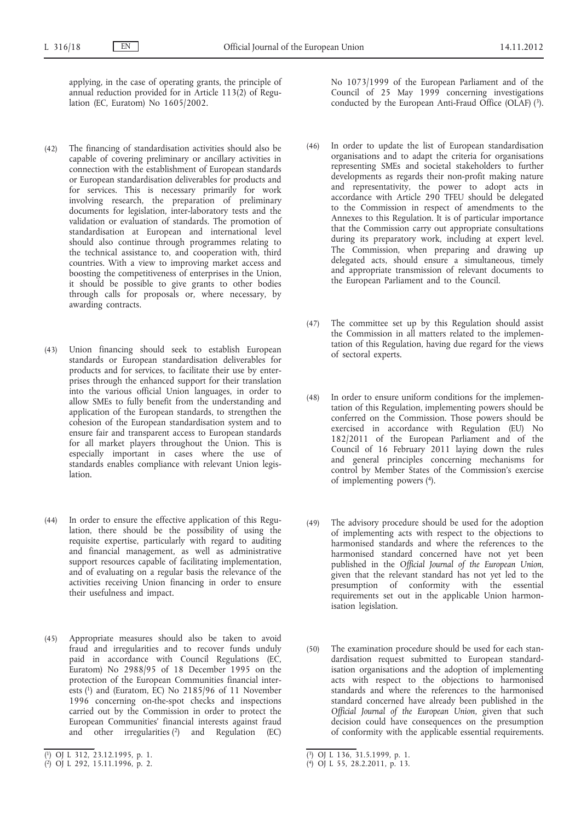applying, in the case of operating grants, the principle of annual reduction provided for in Article 113(2) of Regulation (EC, Euratom) No 1605/2002.

- (42) The financing of standardisation activities should also be capable of covering preliminary or ancillary activities in connection with the establishment of European standards or European standardisation deliverables for products and for services. This is necessary primarily for work involving research, the preparation of preliminary documents for legislation, inter-laboratory tests and the validation or evaluation of standards. The promotion of standardisation at European and international level should also continue through programmes relating to the technical assistance to, and cooperation with, third countries. With a view to improving market access and boosting the competitiveness of enterprises in the Union, it should be possible to give grants to other bodies through calls for proposals or, where necessary, by awarding contracts.
- (43) Union financing should seek to establish European standards or European standardisation deliverables for products and for services, to facilitate their use by enterprises through the enhanced support for their translation into the various official Union languages, in order to allow SMEs to fully benefit from the understanding and application of the European standards, to strengthen the cohesion of the European standardisation system and to ensure fair and transparent access to European standards for all market players throughout the Union. This is especially important in cases where the use of standards enables compliance with relevant Union legis**lation**
- (44) In order to ensure the effective application of this Regulation, there should be the possibility of using the requisite expertise, particularly with regard to auditing and financial management, as well as administrative support resources capable of facilitating implementation, and of evaluating on a regular basis the relevance of the activities receiving Union financing in order to ensure their usefulness and impact.
- (45) Appropriate measures should also be taken to avoid fraud and irregularities and to recover funds unduly paid in accordance with Council Regulations (EC, Euratom) No 2988/95 of 18 December 1995 on the protection of the European Communities financial interests  $(1)$  and (Euratom, EC) No 2185/96 of 11 November 1996 concerning on-the-spot checks and inspections carried out by the Commission in order to protect the European Communities' financial interests against fraud and other irregularities  $(2)$  and Regulation (EC)

No 1073/1999 of the European Parliament and of the Council of 25 May 1999 concerning investigations conducted by the European Anti-Fraud Office (OLAF) (3).

- (46) In order to update the list of European standardisation organisations and to adapt the criteria for organisations representing SMEs and societal stakeholders to further developments as regards their non-profit making nature and representativity, the power to adopt acts in accordance with Article 290 TFEU should be delegated to the Commission in respect of amendments to the Annexes to this Regulation. It is of particular importance that the Commission carry out appropriate consultations during its preparatory work, including at expert level. The Commission, when preparing and drawing up delegated acts, should ensure a simultaneous, timely and appropriate transmission of relevant documents to the European Parliament and to the Council.
- (47) The committee set up by this Regulation should assist the Commission in all matters related to the implementation of this Regulation, having due regard for the views of sectoral experts.
- (48) In order to ensure uniform conditions for the implementation of this Regulation, implementing powers should be conferred on the Commission. Those powers should be exercised in accordance with Regulation (EU) No 182/2011 of the European Parliament and of the Council of 16 February 2011 laying down the rules and general principles concerning mechanisms for control by Member States of the Commission's exercise of implementing powers (4).
- (49) The advisory procedure should be used for the adoption of implementing acts with respect to the objections to harmonised standards and where the references to the harmonised standard concerned have not yet been published in the *Official Journal of the European Union*, given that the relevant standard has not yet led to the presumption of conformity with the essential requirements set out in the applicable Union harmonisation legislation.
- (50) The examination procedure should be used for each standardisation request submitted to European standardisation organisations and the adoption of implementing acts with respect to the objections to harmonised standards and where the references to the harmonised standard concerned have already been published in the *Official Journal of the European Union*, given that such decision could have consequences on the presumption of conformity with the applicable essential requirements.

<sup>(</sup> 1) OJ L 312, 23.12.1995, p. 1.

<sup>(</sup> 2) OJ L 292, 15.11.1996, p. 2.

<sup>(</sup> 3) OJ L 136, 31.5.1999, p. 1.

<sup>(</sup> 4) OJ L 55, 28.2.2011, p. 13.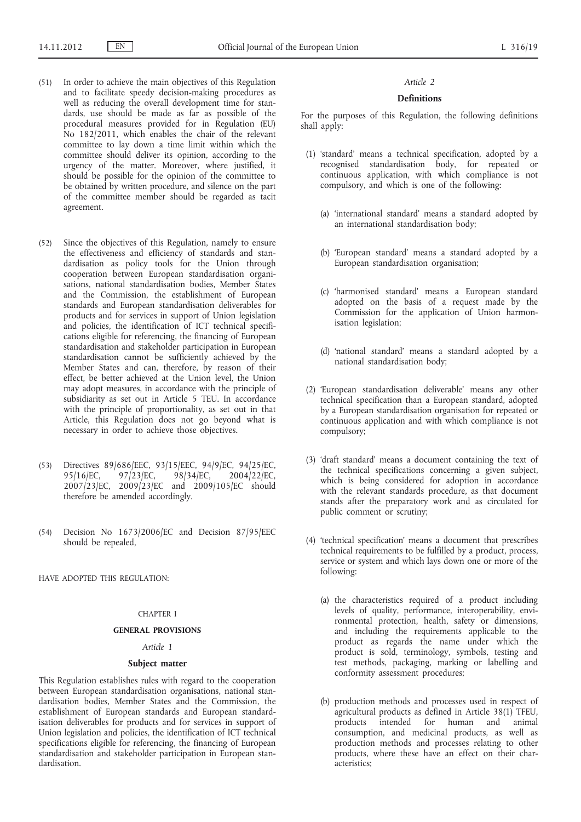- (51) In order to achieve the main objectives of this Regulation and to facilitate speedy decision-making procedures as well as reducing the overall development time for standards, use should be made as far as possible of the procedural measures provided for in Regulation (EU) No 182/2011, which enables the chair of the relevant committee to lay down a time limit within which the committee should deliver its opinion, according to the urgency of the matter. Moreover, where justified, it should be possible for the opinion of the committee to be obtained by written procedure, and silence on the part of the committee member should be regarded as tacit agreement.
- (52) Since the objectives of this Regulation, namely to ensure the effectiveness and efficiency of standards and standardisation as policy tools for the Union through cooperation between European standardisation organisations, national standardisation bodies, Member States and the Commission, the establishment of European standards and European standardisation deliverables for products and for services in support of Union legislation and policies, the identification of ICT technical specifications eligible for referencing, the financing of European standardisation and stakeholder participation in European standardisation cannot be sufficiently achieved by the Member States and can, therefore, by reason of their effect, be better achieved at the Union level, the Union may adopt measures, in accordance with the principle of subsidiarity as set out in Article 5 TEU. In accordance with the principle of proportionality, as set out in that Article, this Regulation does not go beyond what is necessary in order to achieve those objectives.
- (53) Directives 89/686/EEC, 93/15/EEC, 94/9/EC, 94/25/EC, 95/16/EC, 97/23/EC, 98/34/EC, 2004/22/EC, 95/16/EC, 97/23/EC, 98/34/EC, 2004/22/EC, 2007/23/EC, 2009/23/EC and 2009/105/EC should therefore be amended accordingly.
- (54) Decision No 1673/2006/EC and Decision 87/95/EEC should be repealed,

HAVE ADOPTED THIS REGULATION:

## CHAPTER I

#### **GENERAL PROVISIONS**

### *Article 1*

### **Subject matter**

This Regulation establishes rules with regard to the cooperation between European standardisation organisations, national standardisation bodies, Member States and the Commission, the establishment of European standards and European standardisation deliverables for products and for services in support of Union legislation and policies, the identification of ICT technical specifications eligible for referencing, the financing of European standardisation and stakeholder participation in European standardisation.

#### *Article 2*

## **Definitions**

For the purposes of this Regulation, the following definitions shall apply:

- (1) 'standard' means a technical specification, adopted by a recognised standardisation body, for repeated or continuous application, with which compliance is not compulsory, and which is one of the following:
	- (a) 'international standard' means a standard adopted by an international standardisation body;
	- (b) 'European standard' means a standard adopted by a European standardisation organisation;
	- (c) 'harmonised standard' means a European standard adopted on the basis of a request made by the Commission for the application of Union harmonisation legislation;
	- (d) 'national standard' means a standard adopted by a national standardisation body;
- (2) 'European standardisation deliverable' means any other technical specification than a European standard, adopted by a European standardisation organisation for repeated or continuous application and with which compliance is not compulsory;
- (3) 'draft standard' means a document containing the text of the technical specifications concerning a given subject, which is being considered for adoption in accordance with the relevant standards procedure, as that document stands after the preparatory work and as circulated for public comment or scrutiny;
- (4) 'technical specification' means a document that prescribes technical requirements to be fulfilled by a product, process, service or system and which lays down one or more of the following:
	- (a) the characteristics required of a product including levels of quality, performance, interoperability, environmental protection, health, safety or dimensions, and including the requirements applicable to the product as regards the name under which the product is sold, terminology, symbols, testing and test methods, packaging, marking or labelling and conformity assessment procedures;
	- (b) production methods and processes used in respect of agricultural products as defined in Article 38(1) TFEU, products intended for human and animal consumption, and medicinal products, as well as production methods and processes relating to other products, where these have an effect on their characteristics;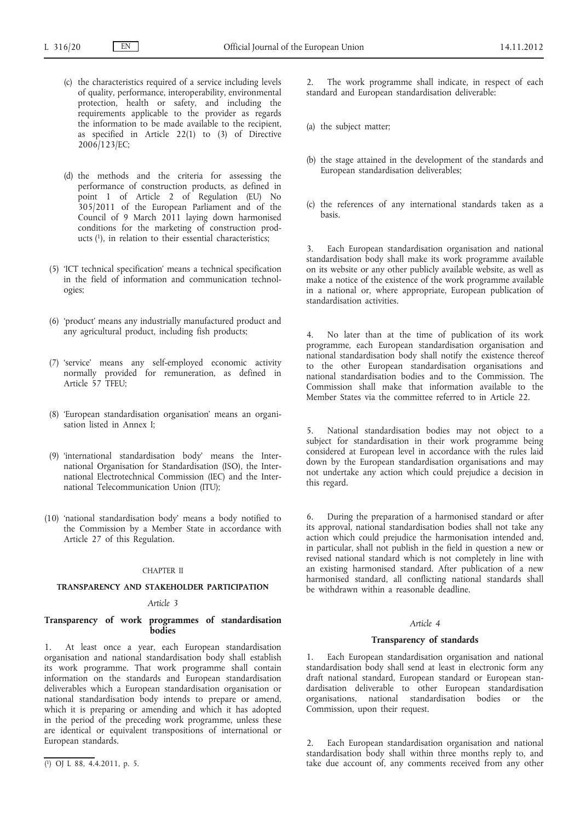- (c) the characteristics required of a service including levels of quality, performance, interoperability, environmental protection, health or safety, and including the requirements applicable to the provider as regards the information to be made available to the recipient, as specified in Article 22(1) to (3) of Directive 2006/123/EC;
- (d) the methods and the criteria for assessing the performance of construction products, as defined in point 1 of Article 2 of Regulation (EU) No 305/2011 of the European Parliament and of the Council of 9 March 2011 laying down harmonised conditions for the marketing of construction products  $(1)$ , in relation to their essential characteristics;
- (5) 'ICT technical specification' means a technical specification in the field of information and communication technologies;
- (6) 'product' means any industrially manufactured product and any agricultural product, including fish products;
- (7) 'service' means any self-employed economic activity normally provided for remuneration, as defined in Article 57 TFEU;
- (8) 'European standardisation organisation' means an organisation listed in Annex I;
- (9) 'international standardisation body' means the International Organisation for Standardisation (ISO), the International Electrotechnical Commission (IEC) and the International Telecommunication Union (ITU);
- (10) 'national standardisation body' means a body notified to the Commission by a Member State in accordance with Article 27 of this Regulation.

### CHAPTER II

### **TRANSPARENCY AND STAKEHOLDER PARTICIPATION**

## *Article 3*

## **Transparency of work programmes of standardisation bodies**

1. At least once a year, each European standardisation organisation and national standardisation body shall establish its work programme. That work programme shall contain information on the standards and European standardisation deliverables which a European standardisation organisation or national standardisation body intends to prepare or amend, which it is preparing or amending and which it has adopted in the period of the preceding work programme, unless these are identical or equivalent transpositions of international or European standards.

The work programme shall indicate, in respect of each standard and European standardisation deliverable:

- (a) the subject matter;
- (b) the stage attained in the development of the standards and European standardisation deliverables;
- (c) the references of any international standards taken as a basis.

3. Each European standardisation organisation and national standardisation body shall make its work programme available on its website or any other publicly available website, as well as make a notice of the existence of the work programme available in a national or, where appropriate, European publication of standardisation activities.

4. No later than at the time of publication of its work programme, each European standardisation organisation and national standardisation body shall notify the existence thereof to the other European standardisation organisations and national standardisation bodies and to the Commission. The Commission shall make that information available to the Member States via the committee referred to in Article 22.

National standardisation bodies may not object to a subject for standardisation in their work programme being considered at European level in accordance with the rules laid down by the European standardisation organisations and may not undertake any action which could prejudice a decision in this regard.

6. During the preparation of a harmonised standard or after its approval, national standardisation bodies shall not take any action which could prejudice the harmonisation intended and, in particular, shall not publish in the field in question a new or revised national standard which is not completely in line with an existing harmonised standard. After publication of a new harmonised standard, all conflicting national standards shall be withdrawn within a reasonable deadline.

## *Article 4*

#### **Transparency of standards**

1. Each European standardisation organisation and national standardisation body shall send at least in electronic form any draft national standard, European standard or European standardisation deliverable to other European standardisation organisations, national standardisation bodies or the Commission, upon their request.

Each European standardisation organisation and national standardisation body shall within three months reply to, and take due account of, any comments received from any other

<sup>(</sup> 1) OJ L 88, 4.4.2011, p. 5.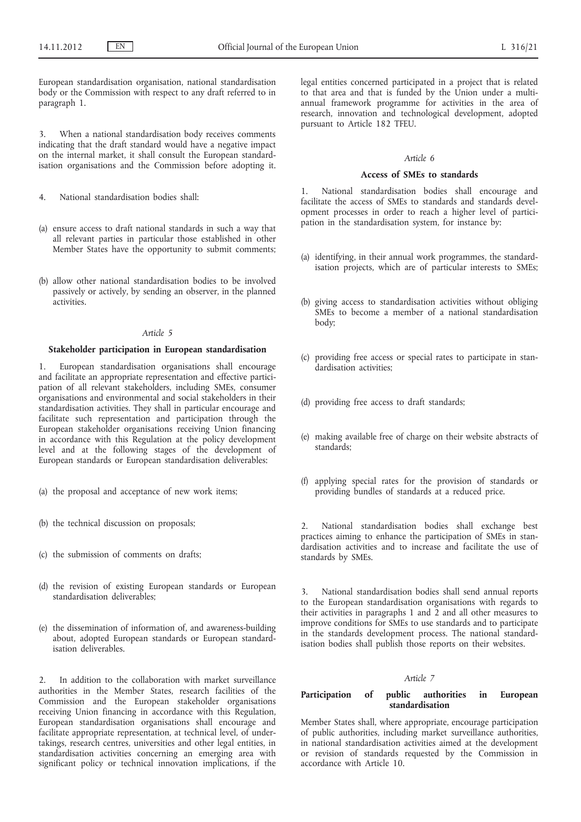European standardisation organisation, national standardisation body or the Commission with respect to any draft referred to in paragraph 1.

3. When a national standardisation body receives comments indicating that the draft standard would have a negative impact on the internal market, it shall consult the European standardisation organisations and the Commission before adopting it.

- 4. National standardisation bodies shall:
- (a) ensure access to draft national standards in such a way that all relevant parties in particular those established in other Member States have the opportunity to submit comments;
- (b) allow other national standardisation bodies to be involved passively or actively, by sending an observer, in the planned activities.

### *Article 5*

## **Stakeholder participation in European standardisation**

1. European standardisation organisations shall encourage and facilitate an appropriate representation and effective participation of all relevant stakeholders, including SMEs, consumer organisations and environmental and social stakeholders in their standardisation activities. They shall in particular encourage and facilitate such representation and participation through the European stakeholder organisations receiving Union financing in accordance with this Regulation at the policy development level and at the following stages of the development of European standards or European standardisation deliverables:

- (a) the proposal and acceptance of new work items;
- (b) the technical discussion on proposals;
- (c) the submission of comments on drafts;
- (d) the revision of existing European standards or European standardisation deliverables;
- (e) the dissemination of information of, and awareness-building about, adopted European standards or European standardisation deliverables.

2. In addition to the collaboration with market surveillance authorities in the Member States, research facilities of the Commission and the European stakeholder organisations receiving Union financing in accordance with this Regulation, European standardisation organisations shall encourage and facilitate appropriate representation, at technical level, of undertakings, research centres, universities and other legal entities, in standardisation activities concerning an emerging area with significant policy or technical innovation implications, if the legal entities concerned participated in a project that is related to that area and that is funded by the Union under a multiannual framework programme for activities in the area of research, innovation and technological development, adopted pursuant to Article 182 TFEU.

## *Article 6*

#### **Access of SMEs to standards**

1. National standardisation bodies shall encourage and facilitate the access of SMEs to standards and standards development processes in order to reach a higher level of participation in the standardisation system, for instance by:

- (a) identifying, in their annual work programmes, the standardisation projects, which are of particular interests to SMEs;
- (b) giving access to standardisation activities without obliging SMEs to become a member of a national standardisation body;
- (c) providing free access or special rates to participate in standardisation activities;
- (d) providing free access to draft standards;
- (e) making available free of charge on their website abstracts of standards;
- (f) applying special rates for the provision of standards or providing bundles of standards at a reduced price.

2. National standardisation bodies shall exchange best practices aiming to enhance the participation of SMEs in standardisation activities and to increase and facilitate the use of standards by SMEs.

3. National standardisation bodies shall send annual reports to the European standardisation organisations with regards to their activities in paragraphs 1 and 2 and all other measures to improve conditions for SMEs to use standards and to participate in the standards development process. The national standardisation bodies shall publish those reports on their websites.

#### *Article 7*

## **Participation of public authorities in European standardisation**

Member States shall, where appropriate, encourage participation of public authorities, including market surveillance authorities, in national standardisation activities aimed at the development or revision of standards requested by the Commission in accordance with Article 10.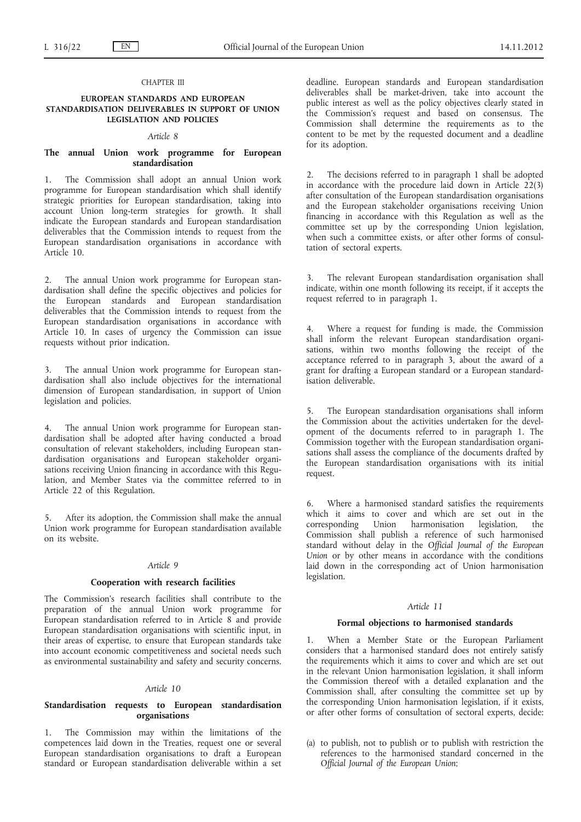## CHAPTER III

## **EUROPEAN STANDARDS AND EUROPEAN STANDARDISATION DELIVERABLES IN SUPPORT OF UNION LEGISLATION AND POLICIES**

## *Article 8*

## **The annual Union work programme for European standardisation**

1. The Commission shall adopt an annual Union work programme for European standardisation which shall identify strategic priorities for European standardisation, taking into account Union long-term strategies for growth. It shall indicate the European standards and European standardisation deliverables that the Commission intends to request from the European standardisation organisations in accordance with Article 10.

2. The annual Union work programme for European standardisation shall define the specific objectives and policies for the European standards and European standardisation deliverables that the Commission intends to request from the European standardisation organisations in accordance with Article 10. In cases of urgency the Commission can issue requests without prior indication.

The annual Union work programme for European standardisation shall also include objectives for the international dimension of European standardisation, in support of Union legislation and policies.

4. The annual Union work programme for European standardisation shall be adopted after having conducted a broad consultation of relevant stakeholders, including European standardisation organisations and European stakeholder organisations receiving Union financing in accordance with this Regulation, and Member States via the committee referred to in Article 22 of this Regulation.

After its adoption, the Commission shall make the annual Union work programme for European standardisation available on its website.

#### *Article 9*

## **Cooperation with research facilities**

The Commission's research facilities shall contribute to the preparation of the annual Union work programme for European standardisation referred to in Article 8 and provide European standardisation organisations with scientific input, in their areas of expertise, to ensure that European standards take into account economic competitiveness and societal needs such as environmental sustainability and safety and security concerns.

## *Article 10*

## **Standardisation requests to European standardisation organisations**

1. The Commission may within the limitations of the competences laid down in the Treaties, request one or several European standardisation organisations to draft a European standard or European standardisation deliverable within a set

deadline. European standards and European standardisation deliverables shall be market-driven, take into account the public interest as well as the policy objectives clearly stated in the Commission's request and based on consensus. The Commission shall determine the requirements as to the content to be met by the requested document and a deadline for its adoption.

The decisions referred to in paragraph 1 shall be adopted in accordance with the procedure laid down in Article  $22(3)$ after consultation of the European standardisation organisations and the European stakeholder organisations receiving Union financing in accordance with this Regulation as well as the committee set up by the corresponding Union legislation, when such a committee exists, or after other forms of consultation of sectoral experts.

The relevant European standardisation organisation shall indicate, within one month following its receipt, if it accepts the request referred to in paragraph 1.

Where a request for funding is made, the Commission shall inform the relevant European standardisation organisations, within two months following the receipt of the acceptance referred to in paragraph 3, about the award of a grant for drafting a European standard or a European standardisation deliverable.

The European standardisation organisations shall inform the Commission about the activities undertaken for the development of the documents referred to in paragraph 1. The Commission together with the European standardisation organisations shall assess the compliance of the documents drafted by the European standardisation organisations with its initial request.

Where a harmonised standard satisfies the requirements which it aims to cover and which are set out in the corresponding Union harmonisation legislation, the Commission shall publish a reference of such harmonised standard without delay in the *Official Journal of the European Union* or by other means in accordance with the conditions laid down in the corresponding act of Union harmonisation legislation.

## *Article 11*

### **Formal objections to harmonised standards**

When a Member State or the European Parliament considers that a harmonised standard does not entirely satisfy the requirements which it aims to cover and which are set out in the relevant Union harmonisation legislation, it shall inform the Commission thereof with a detailed explanation and the Commission shall, after consulting the committee set up by the corresponding Union harmonisation legislation, if it exists, or after other forms of consultation of sectoral experts, decide:

(a) to publish, not to publish or to publish with restriction the references to the harmonised standard concerned in the *Official Journal of the European Union*;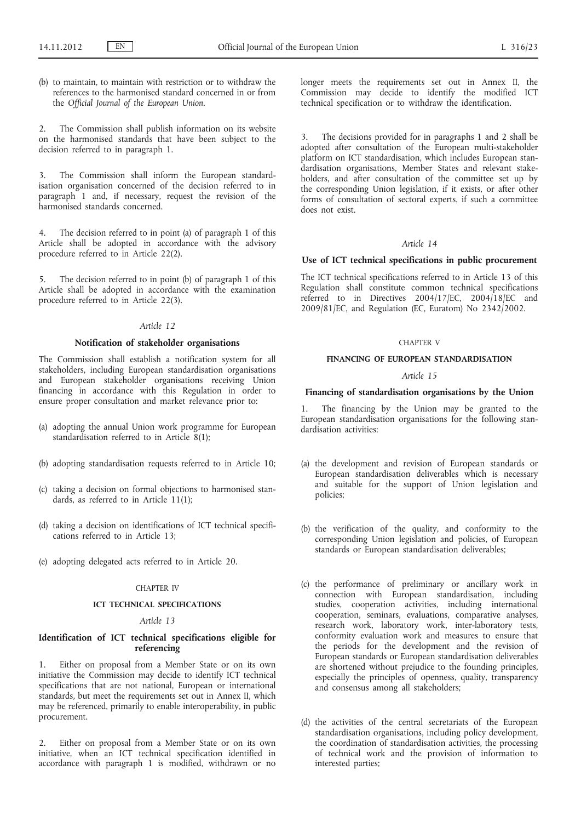(b) to maintain, to maintain with restriction or to withdraw the references to the harmonised standard concerned in or from the *Official Journal of the European Union*.

2. The Commission shall publish information on its website on the harmonised standards that have been subject to the decision referred to in paragraph 1.

3. The Commission shall inform the European standardisation organisation concerned of the decision referred to in paragraph 1 and, if necessary, request the revision of the harmonised standards concerned.

4. The decision referred to in point (a) of paragraph 1 of this Article shall be adopted in accordance with the advisory procedure referred to in Article 22(2).

5. The decision referred to in point (b) of paragraph 1 of this Article shall be adopted in accordance with the examination procedure referred to in Article 22(3).

## *Article 12*

## **Notification of stakeholder organisations**

The Commission shall establish a notification system for all stakeholders, including European standardisation organisations and European stakeholder organisations receiving Union financing in accordance with this Regulation in order to ensure proper consultation and market relevance prior to:

- (a) adopting the annual Union work programme for European standardisation referred to in Article 8(1);
- (b) adopting standardisation requests referred to in Article 10;
- (c) taking a decision on formal objections to harmonised standards, as referred to in Article 11(1);
- (d) taking a decision on identifications of ICT technical specifications referred to in Article 13;
- (e) adopting delegated acts referred to in Article 20.

## CHAPTER IV

## **ICT TECHNICAL SPECIFICATIONS**

### *Article 13*

## **Identification of ICT technical specifications eligible for referencing**

1. Either on proposal from a Member State or on its own initiative the Commission may decide to identify ICT technical specifications that are not national, European or international standards, but meet the requirements set out in Annex II, which may be referenced, primarily to enable interoperability, in public procurement.

2. Either on proposal from a Member State or on its own initiative, when an ICT technical specification identified in accordance with paragraph 1 is modified, withdrawn or no longer meets the requirements set out in Annex II, the Commission may decide to identify the modified ICT technical specification or to withdraw the identification.

The decisions provided for in paragraphs 1 and 2 shall be adopted after consultation of the European multi-stakeholder platform on ICT standardisation, which includes European standardisation organisations, Member States and relevant stakeholders, and after consultation of the committee set up by the corresponding Union legislation, if it exists, or after other forms of consultation of sectoral experts, if such a committee does not exist.

## *Article 14*

### **Use of ICT technical specifications in public procurement**

The ICT technical specifications referred to in Article 13 of this Regulation shall constitute common technical specifications referred to in Directives 2004/17/EC, 2004/18/EC and 2009/81/EC, and Regulation (EC, Euratom) No 2342/2002.

## CHAPTER V

## **FINANCING OF EUROPEAN STANDARDISATION**

## *Article 15*

## **Financing of standardisation organisations by the Union**

The financing by the Union may be granted to the European standardisation organisations for the following standardisation activities:

- (a) the development and revision of European standards or European standardisation deliverables which is necessary and suitable for the support of Union legislation and policies;
- (b) the verification of the quality, and conformity to the corresponding Union legislation and policies, of European standards or European standardisation deliverables;
- (c) the performance of preliminary or ancillary work in connection with European standardisation, including studies, cooperation activities, including international cooperation, seminars, evaluations, comparative analyses, research work, laboratory work, inter-laboratory tests, conformity evaluation work and measures to ensure that the periods for the development and the revision of European standards or European standardisation deliverables are shortened without prejudice to the founding principles, especially the principles of openness, quality, transparency and consensus among all stakeholders;
- (d) the activities of the central secretariats of the European standardisation organisations, including policy development, the coordination of standardisation activities, the processing of technical work and the provision of information to interested parties;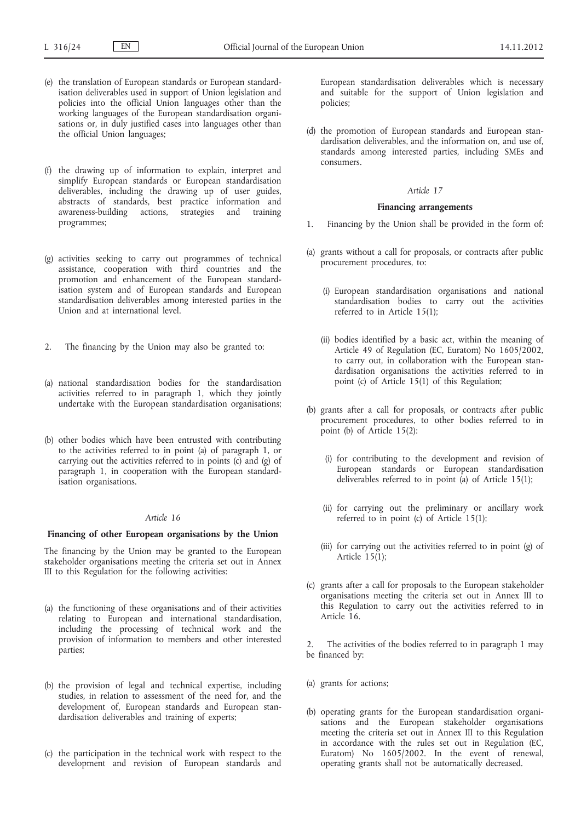- (e) the translation of European standards or European standardisation deliverables used in support of Union legislation and policies into the official Union languages other than the working languages of the European standardisation organisations or, in duly justified cases into languages other than the official Union languages;
- (f) the drawing up of information to explain, interpret and simplify European standards or European standardisation deliverables, including the drawing up of user guides, abstracts of standards, best practice information and awareness-building actions, strategies and training programmes;
- (g) activities seeking to carry out programmes of technical assistance, cooperation with third countries and the promotion and enhancement of the European standardisation system and of European standards and European standardisation deliverables among interested parties in the Union and at international level.
- 2. The financing by the Union may also be granted to:
- (a) national standardisation bodies for the standardisation activities referred to in paragraph 1, which they jointly undertake with the European standardisation organisations;
- (b) other bodies which have been entrusted with contributing to the activities referred to in point (a) of paragraph 1, or carrying out the activities referred to in points (c) and (g) of paragraph 1, in cooperation with the European standardisation organisations.

## *Article 16*

## **Financing of other European organisations by the Union**

The financing by the Union may be granted to the European stakeholder organisations meeting the criteria set out in Annex III to this Regulation for the following activities:

- (a) the functioning of these organisations and of their activities relating to European and international standardisation, including the processing of technical work and the provision of information to members and other interested parties;
- (b) the provision of legal and technical expertise, including studies, in relation to assessment of the need for, and the development of, European standards and European standardisation deliverables and training of experts;
- (c) the participation in the technical work with respect to the development and revision of European standards and

European standardisation deliverables which is necessary and suitable for the support of Union legislation and policies;

(d) the promotion of European standards and European standardisation deliverables, and the information on, and use of, standards among interested parties, including SMEs and consumers.

#### *Article 17*

## **Financing arrangements**

- 1. Financing by the Union shall be provided in the form of:
- (a) grants without a call for proposals, or contracts after public procurement procedures, to:
	- (i) European standardisation organisations and national standardisation bodies to carry out the activities referred to in Article 15(1);
	- (ii) bodies identified by a basic act, within the meaning of Article 49 of Regulation (EC, Euratom) No 1605/2002, to carry out, in collaboration with the European standardisation organisations the activities referred to in point (c) of Article 15(1) of this Regulation;
- (b) grants after a call for proposals, or contracts after public procurement procedures, to other bodies referred to in point (b) of Article 15(2):
	- (i) for contributing to the development and revision of European standards or European standardisation deliverables referred to in point (a) of Article 15(1);
	- (ii) for carrying out the preliminary or ancillary work referred to in point (c) of Article  $15(1)$ ;
	- (iii) for carrying out the activities referred to in point (g) of Article  $15(1)$ ;
- (c) grants after a call for proposals to the European stakeholder organisations meeting the criteria set out in Annex III to this Regulation to carry out the activities referred to in Article 16.

2. The activities of the bodies referred to in paragraph 1 may be financed by:

- (a) grants for actions;
- (b) operating grants for the European standardisation organisations and the European stakeholder organisations meeting the criteria set out in Annex III to this Regulation in accordance with the rules set out in Regulation (EC, Euratom) No 1605/2002. In the event of renewal, operating grants shall not be automatically decreased.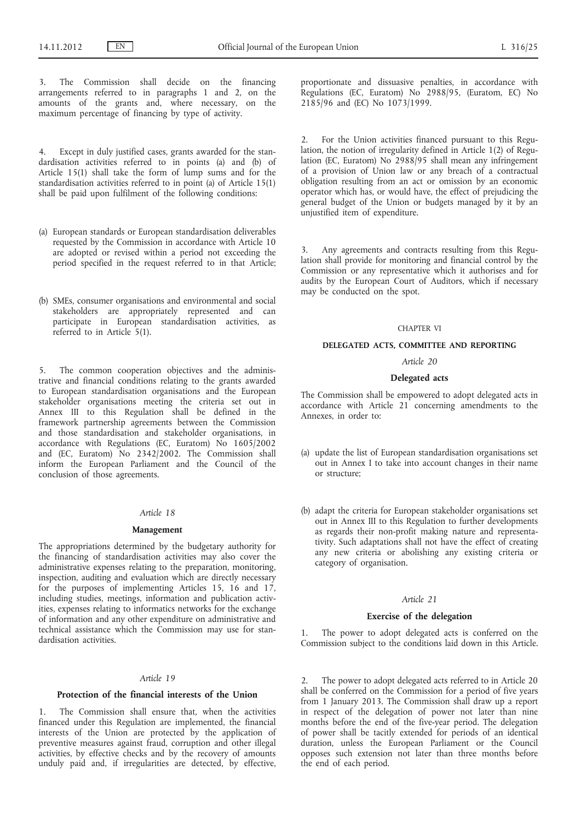3. The Commission shall decide on the financing arrangements referred to in paragraphs 1 and 2, on the amounts of the grants and, where necessary, on the maximum percentage of financing by type of activity.

4. Except in duly justified cases, grants awarded for the standardisation activities referred to in points (a) and (b) of Article 15(1) shall take the form of lump sums and for the standardisation activities referred to in point (a) of Article 15(1) shall be paid upon fulfilment of the following conditions:

- (a) European standards or European standardisation deliverables requested by the Commission in accordance with Article 10 are adopted or revised within a period not exceeding the period specified in the request referred to in that Article;
- (b) SMEs, consumer organisations and environmental and social stakeholders are appropriately represented and can participate in European standardisation activities, as referred to in Article 5(1).

5. The common cooperation objectives and the administrative and financial conditions relating to the grants awarded to European standardisation organisations and the European stakeholder organisations meeting the criteria set out in Annex III to this Regulation shall be defined in the framework partnership agreements between the Commission and those standardisation and stakeholder organisations, in accordance with Regulations (EC, Euratom) No 1605/2002 and (EC, Euratom) No 2342/2002. The Commission shall inform the European Parliament and the Council of the conclusion of those agreements.

#### *Article 18*

### **Management**

The appropriations determined by the budgetary authority for the financing of standardisation activities may also cover the administrative expenses relating to the preparation, monitoring, inspection, auditing and evaluation which are directly necessary for the purposes of implementing Articles 15, 16 and 17, including studies, meetings, information and publication activities, expenses relating to informatics networks for the exchange of information and any other expenditure on administrative and technical assistance which the Commission may use for standardisation activities.

### *Article 19*

#### **Protection of the financial interests of the Union**

1. The Commission shall ensure that, when the activities financed under this Regulation are implemented, the financial interests of the Union are protected by the application of preventive measures against fraud, corruption and other illegal activities, by effective checks and by the recovery of amounts unduly paid and, if irregularities are detected, by effective, proportionate and dissuasive penalties, in accordance with Regulations (EC, Euratom) No 2988/95, (Euratom, EC) No 2185/96 and (EC) No 1073/1999.

2. For the Union activities financed pursuant to this Regulation, the notion of irregularity defined in Article 1(2) of Regulation (EC, Euratom) No 2988/95 shall mean any infringement of a provision of Union law or any breach of a contractual obligation resulting from an act or omission by an economic operator which has, or would have, the effect of prejudicing the general budget of the Union or budgets managed by it by an unjustified item of expenditure.

3. Any agreements and contracts resulting from this Regulation shall provide for monitoring and financial control by the Commission or any representative which it authorises and for audits by the European Court of Auditors, which if necessary may be conducted on the spot.

### CHAPTER VI

## **DELEGATED ACTS, COMMITTEE AND REPORTING**

### *Article 20*

## **Delegated acts**

The Commission shall be empowered to adopt delegated acts in accordance with Article 21 concerning amendments to the Annexes, in order to:

- (a) update the list of European standardisation organisations set out in Annex I to take into account changes in their name or structure;
- (b) adapt the criteria for European stakeholder organisations set out in Annex III to this Regulation to further developments as regards their non-profit making nature and representativity. Such adaptations shall not have the effect of creating any new criteria or abolishing any existing criteria or category of organisation.

### *Article 21*

### **Exercise of the delegation**

The power to adopt delegated acts is conferred on the Commission subject to the conditions laid down in this Article.

2. The power to adopt delegated acts referred to in Article 20 shall be conferred on the Commission for a period of five years from 1 January 2013. The Commission shall draw up a report in respect of the delegation of power not later than nine months before the end of the five-year period. The delegation of power shall be tacitly extended for periods of an identical duration, unless the European Parliament or the Council opposes such extension not later than three months before the end of each period.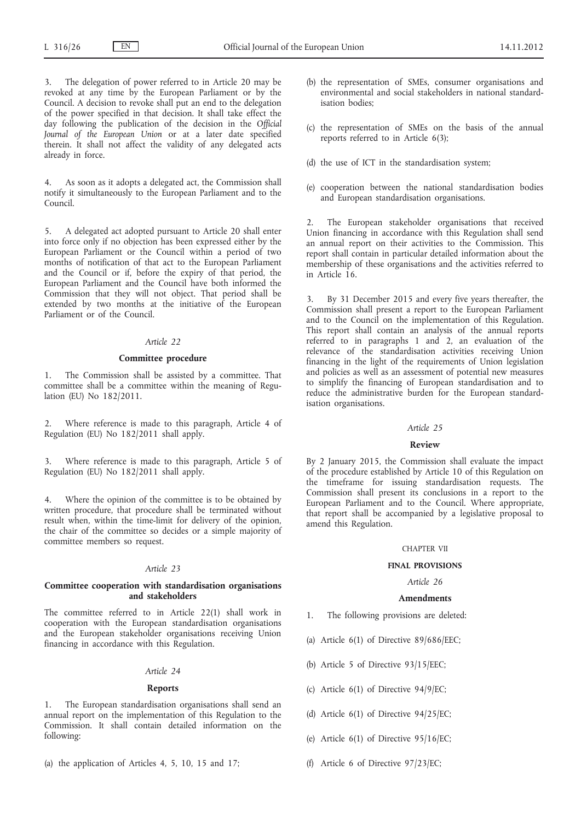3. The delegation of power referred to in Article 20 may be revoked at any time by the European Parliament or by the Council. A decision to revoke shall put an end to the delegation of the power specified in that decision. It shall take effect the day following the publication of the decision in the *Official Journal of the European Union* or at a later date specified therein. It shall not affect the validity of any delegated acts already in force.

4. As soon as it adopts a delegated act, the Commission shall notify it simultaneously to the European Parliament and to the Council.

5. A delegated act adopted pursuant to Article 20 shall enter into force only if no objection has been expressed either by the European Parliament or the Council within a period of two months of notification of that act to the European Parliament and the Council or if, before the expiry of that period, the European Parliament and the Council have both informed the Commission that they will not object. That period shall be extended by two months at the initiative of the European Parliament or of the Council.

### *Article 22*

### **Committee procedure**

1. The Commission shall be assisted by a committee. That committee shall be a committee within the meaning of Regulation (EU) No 182/2011.

2. Where reference is made to this paragraph, Article 4 of Regulation (EU) No 182/2011 shall apply.

3. Where reference is made to this paragraph, Article 5 of Regulation (EU) No 182/2011 shall apply.

4. Where the opinion of the committee is to be obtained by written procedure, that procedure shall be terminated without result when, within the time-limit for delivery of the opinion, the chair of the committee so decides or a simple majority of committee members so request.

#### *Article 23*

## **Committee cooperation with standardisation organisations and stakeholders**

The committee referred to in Article 22(1) shall work in cooperation with the European standardisation organisations and the European stakeholder organisations receiving Union financing in accordance with this Regulation.

## *Article 24*

## **Reports**

1. The European standardisation organisations shall send an annual report on the implementation of this Regulation to the Commission. It shall contain detailed information on the following:

(a) the application of Articles 4, 5, 10, 15 and 17;

- (b) the representation of SMEs, consumer organisations and environmental and social stakeholders in national standardisation bodies;
- (c) the representation of SMEs on the basis of the annual reports referred to in Article 6(3);
- (d) the use of ICT in the standardisation system;
- (e) cooperation between the national standardisation bodies and European standardisation organisations.

2. The European stakeholder organisations that received Union financing in accordance with this Regulation shall send an annual report on their activities to the Commission. This report shall contain in particular detailed information about the membership of these organisations and the activities referred to in Article 16.

3. By 31 December 2015 and every five years thereafter, the Commission shall present a report to the European Parliament and to the Council on the implementation of this Regulation. This report shall contain an analysis of the annual reports referred to in paragraphs 1 and 2, an evaluation of the relevance of the standardisation activities receiving Union financing in the light of the requirements of Union legislation and policies as well as an assessment of potential new measures to simplify the financing of European standardisation and to reduce the administrative burden for the European standardisation organisations.

#### *Article 25*

### **Review**

By 2 January 2015, the Commission shall evaluate the impact of the procedure established by Article 10 of this Regulation on the timeframe for issuing standardisation requests. The Commission shall present its conclusions in a report to the European Parliament and to the Council. Where appropriate, that report shall be accompanied by a legislative proposal to amend this Regulation.

## CHAPTER VII

### **FINAL PROVISIONS**

## *Article 26*

#### **Amendments**

- 1. The following provisions are deleted:
- (a) Article  $6(1)$  of Directive  $89/686/EEC$ ;
- (b) Article 5 of Directive 93/15/EEC;
- (c) Article 6(1) of Directive 94/9/EC;
- (d) Article 6(1) of Directive 94/25/EC;
- (e) Article 6(1) of Directive 95/16/EC;
- (f) Article 6 of Directive 97/23/EC;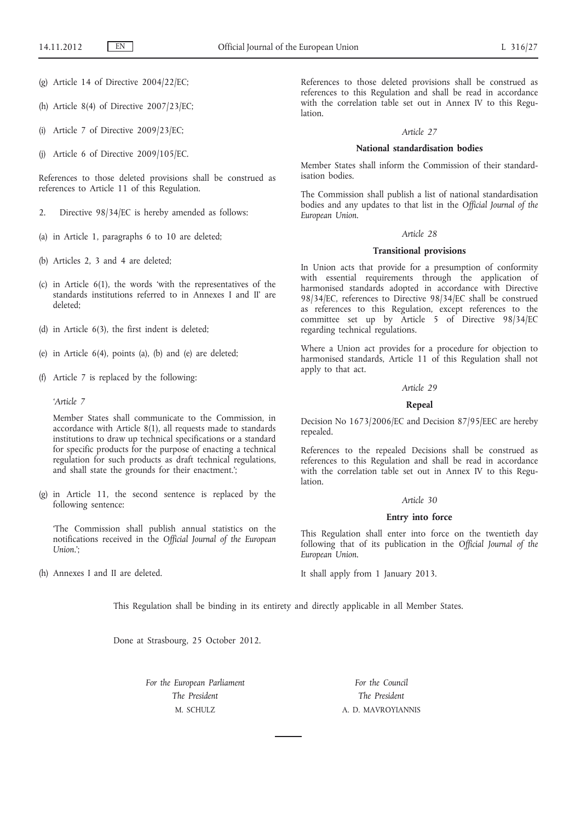- (g) Article 14 of Directive 2004/22/EC;
- (h) Article 8(4) of Directive 2007/23/EC;
- (i) Article 7 of Directive 2009/23/EC;
- (j) Article 6 of Directive 2009/105/EC.

References to those deleted provisions shall be construed as references to Article 11 of this Regulation.

- 2. Directive 98/34/EC is hereby amended as follows:
- (a) in Article 1, paragraphs 6 to 10 are deleted;
- (b) Articles 2, 3 and 4 are deleted;
- (c) in Article 6(1), the words 'with the representatives of the standards institutions referred to in Annexes I and II' are deleted;
- (d) in Article 6(3), the first indent is deleted;
- (e) in Article 6(4), points (a), (b) and (e) are deleted;
- (f) Article 7 is replaced by the following:

*'Article 7*

Member States shall communicate to the Commission, in accordance with Article 8(1), all requests made to standards institutions to draw up technical specifications or a standard for specific products for the purpose of enacting a technical regulation for such products as draft technical regulations, and shall state the grounds for their enactment.';

(g) in Article 11, the second sentence is replaced by the following sentence:

'The Commission shall publish annual statistics on the notifications received in the *Official Journal of the European Union*.';

(h) Annexes I and II are deleted.

References to those deleted provisions shall be construed as references to this Regulation and shall be read in accordance with the correlation table set out in Annex IV to this Regulation.

### *Article 27*

## **National standardisation bodies**

Member States shall inform the Commission of their standardisation bodies.

The Commission shall publish a list of national standardisation bodies and any updates to that list in the *Official Journal of the European Union*.

## *Article 28*

### **Transitional provisions**

In Union acts that provide for a presumption of conformity with essential requirements through the application of harmonised standards adopted in accordance with Directive 98/34/EC, references to Directive 98/34/EC shall be construed as references to this Regulation, except references to the committee set up by Article 5 of Directive 98/34/EC regarding technical regulations.

Where a Union act provides for a procedure for objection to harmonised standards, Article 11 of this Regulation shall not apply to that act.

#### *Article 29*

#### **Repeal**

Decision No 1673/2006/EC and Decision 87/95/EEC are hereby repealed.

References to the repealed Decisions shall be construed as references to this Regulation and shall be read in accordance with the correlation table set out in Annex IV to this Regulation.

#### *Article 30*

## **Entry into force**

This Regulation shall enter into force on the twentieth day following that of its publication in the *Official Journal of the European Union*.

It shall apply from 1 January 2013.

This Regulation shall be binding in its entirety and directly applicable in all Member States.

Done at Strasbourg, 25 October 2012.

*For the European Parliament The President* M. SCHULZ

*For the Council The President* A. D. MAVROYIANNIS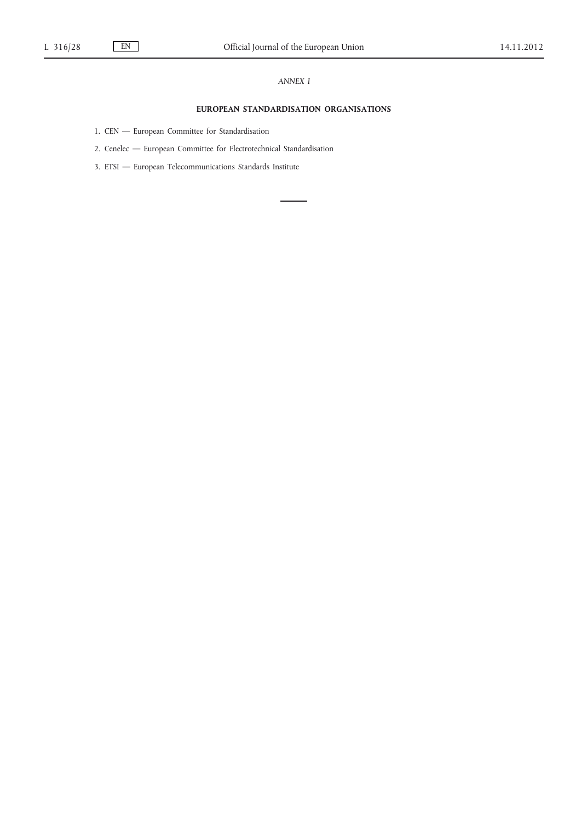## *ANNEX I*

# **EUROPEAN STANDARDISATION ORGANISATIONS**

- 1. CEN European Committee for Standardisation
- 2. Cenelec European Committee for Electrotechnical Standardisation
- 3. ETSI European Telecommunications Standards Institute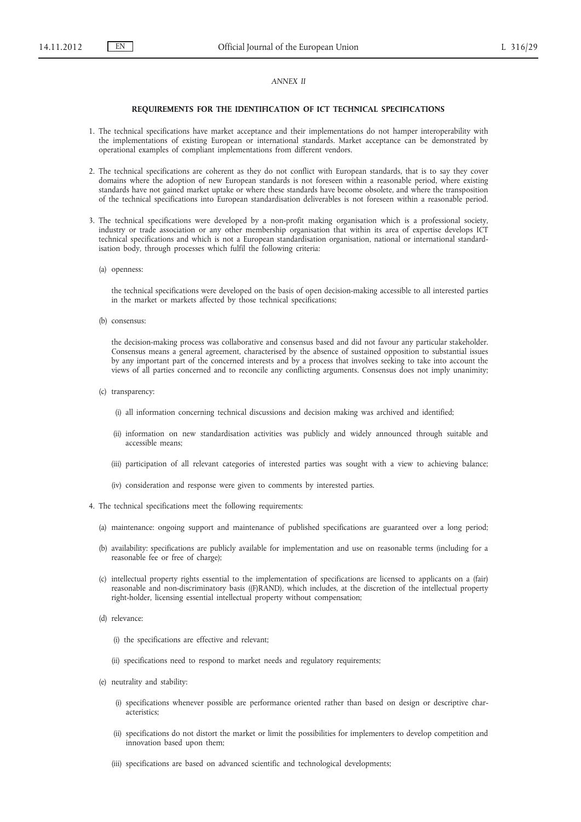## *ANNEX II*

#### **REQUIREMENTS FOR THE IDENTIFICATION OF ICT TECHNICAL SPECIFICATIONS**

- 1. The technical specifications have market acceptance and their implementations do not hamper interoperability with the implementations of existing European or international standards. Market acceptance can be demonstrated by operational examples of compliant implementations from different vendors.
- 2. The technical specifications are coherent as they do not conflict with European standards, that is to say they cover domains where the adoption of new European standards is not foreseen within a reasonable period, where existing standards have not gained market uptake or where these standards have become obsolete, and where the transposition of the technical specifications into European standardisation deliverables is not foreseen within a reasonable period.
- 3. The technical specifications were developed by a non-profit making organisation which is a professional society, industry or trade association or any other membership organisation that within its area of expertise develops ICT technical specifications and which is not a European standardisation organisation, national or international standardisation body, through processes which fulfil the following criteria:
	- (a) openness:

the technical specifications were developed on the basis of open decision-making accessible to all interested parties in the market or markets affected by those technical specifications;

(b) consensus:

the decision-making process was collaborative and consensus based and did not favour any particular stakeholder. Consensus means a general agreement, characterised by the absence of sustained opposition to substantial issues by any important part of the concerned interests and by a process that involves seeking to take into account the views of all parties concerned and to reconcile any conflicting arguments. Consensus does not imply unanimity;

- (c) transparency:
	- (i) all information concerning technical discussions and decision making was archived and identified;
	- (ii) information on new standardisation activities was publicly and widely announced through suitable and accessible means;
	- (iii) participation of all relevant categories of interested parties was sought with a view to achieving balance;
	- (iv) consideration and response were given to comments by interested parties.
- 4. The technical specifications meet the following requirements:
	- (a) maintenance: ongoing support and maintenance of published specifications are guaranteed over a long period;
	- (b) availability: specifications are publicly available for implementation and use on reasonable terms (including for a reasonable fee or free of charge);
	- (c) intellectual property rights essential to the implementation of specifications are licensed to applicants on a (fair) reasonable and non-discriminatory basis ((F)RAND), which includes, at the discretion of the intellectual property right-holder, licensing essential intellectual property without compensation;
	- (d) relevance:
		- (i) the specifications are effective and relevant;
		- (ii) specifications need to respond to market needs and regulatory requirements;
	- (e) neutrality and stability:
		- (i) specifications whenever possible are performance oriented rather than based on design or descriptive characteristics;
		- (ii) specifications do not distort the market or limit the possibilities for implementers to develop competition and innovation based upon them;
		- (iii) specifications are based on advanced scientific and technological developments;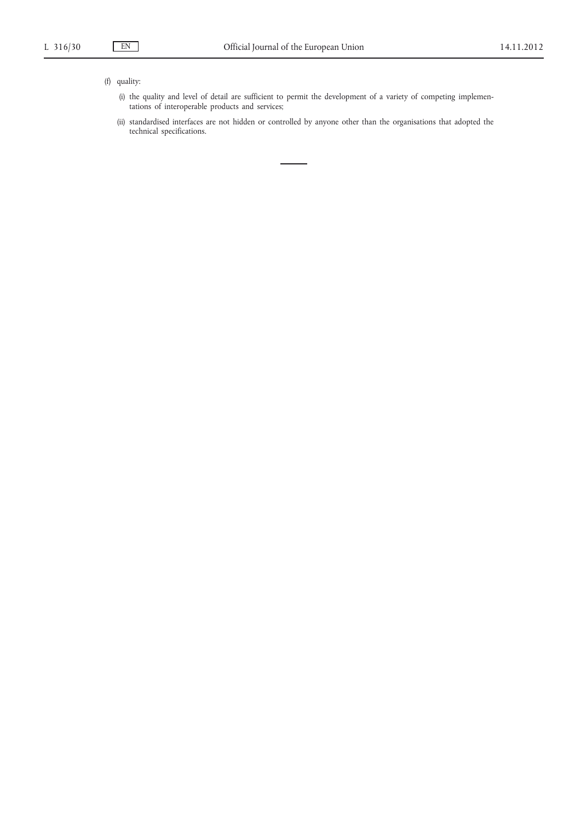# (f) quality:

- (i) the quality and level of detail are sufficient to permit the development of a variety of competing implementations of interoperable products and services;
- (ii) standardised interfaces are not hidden or controlled by anyone other than the organisations that adopted the technical specifications.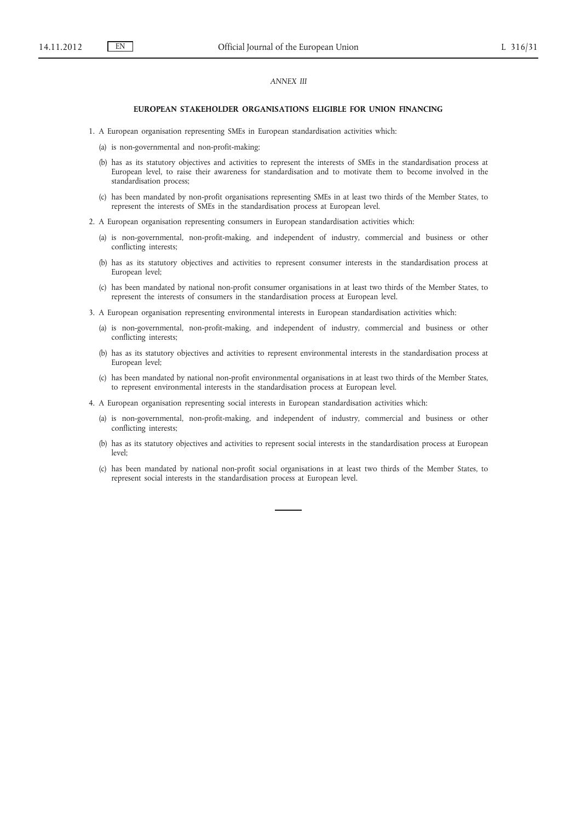## *ANNEX III*

### **EUROPEAN STAKEHOLDER ORGANISATIONS ELIGIBLE FOR UNION FINANCING**

- 1. A European organisation representing SMEs in European standardisation activities which:
	- (a) is non-governmental and non-profit-making;
	- (b) has as its statutory objectives and activities to represent the interests of SMEs in the standardisation process at European level, to raise their awareness for standardisation and to motivate them to become involved in the standardisation process;
	- (c) has been mandated by non-profit organisations representing SMEs in at least two thirds of the Member States, to represent the interests of SMEs in the standardisation process at European level.
- 2. A European organisation representing consumers in European standardisation activities which:
	- (a) is non-governmental, non-profit-making, and independent of industry, commercial and business or other conflicting interests;
	- (b) has as its statutory objectives and activities to represent consumer interests in the standardisation process at European level;
	- (c) has been mandated by national non-profit consumer organisations in at least two thirds of the Member States, to represent the interests of consumers in the standardisation process at European level.
- 3. A European organisation representing environmental interests in European standardisation activities which:
	- (a) is non-governmental, non-profit-making, and independent of industry, commercial and business or other conflicting interests;
	- (b) has as its statutory objectives and activities to represent environmental interests in the standardisation process at European level;
	- (c) has been mandated by national non-profit environmental organisations in at least two thirds of the Member States, to represent environmental interests in the standardisation process at European level.
- 4. A European organisation representing social interests in European standardisation activities which:
	- (a) is non-governmental, non-profit-making, and independent of industry, commercial and business or other conflicting interests;
	- (b) has as its statutory objectives and activities to represent social interests in the standardisation process at European level;
	- (c) has been mandated by national non-profit social organisations in at least two thirds of the Member States, to represent social interests in the standardisation process at European level.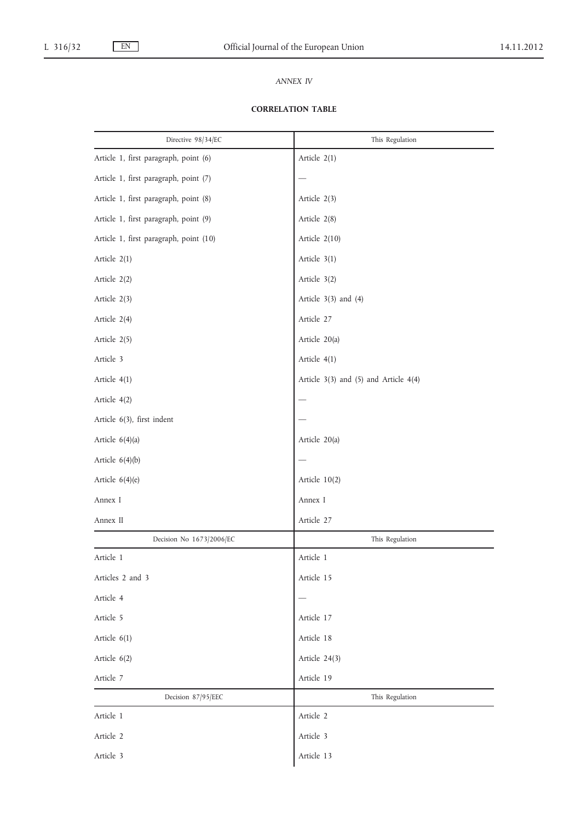# *ANNEX IV*

# **CORRELATION TABLE**

| Directive 98/34/EC                     | This Regulation                       |
|----------------------------------------|---------------------------------------|
| Article 1, first paragraph, point (6)  | Article 2(1)                          |
| Article 1, first paragraph, point (7)  |                                       |
| Article 1, first paragraph, point (8)  | Article 2(3)                          |
| Article 1, first paragraph, point (9)  | Article 2(8)                          |
| Article 1, first paragraph, point (10) | Article 2(10)                         |
| Article 2(1)                           | Article 3(1)                          |
| Article 2(2)                           | Article 3(2)                          |
| Article 2(3)                           | Article $3(3)$ and $(4)$              |
| Article 2(4)                           | Article 27                            |
| Article 2(5)                           | Article 20(a)                         |
| Article 3                              | Article 4(1)                          |
| Article 4(1)                           | Article 3(3) and (5) and Article 4(4) |
| Article 4(2)                           |                                       |
| Article 6(3), first indent             |                                       |
| Article 6(4)(a)                        | Article 20(a)                         |
| Article $6(4)(b)$                      |                                       |
| Article 6(4)(e)                        | Article 10(2)                         |
| Annex I                                | Annex I                               |
| Annex II                               | Article 27                            |
| Decision No 1673/2006/EC               | This Regulation                       |
| Article 1                              | Article 1                             |
| Articles 2 and 3                       | Article 15                            |
| Article 4                              |                                       |
| Article 5                              | Article 17                            |
| Article 6(1)                           | Article 18                            |
| Article 6(2)                           | Article 24(3)                         |
| Article 7                              | Article 19                            |
| Decision 87/95/EEC                     | This Regulation                       |
| Article 1                              | Article 2                             |
| Article 2                              | Article 3                             |
| Article 3                              | Article 13                            |